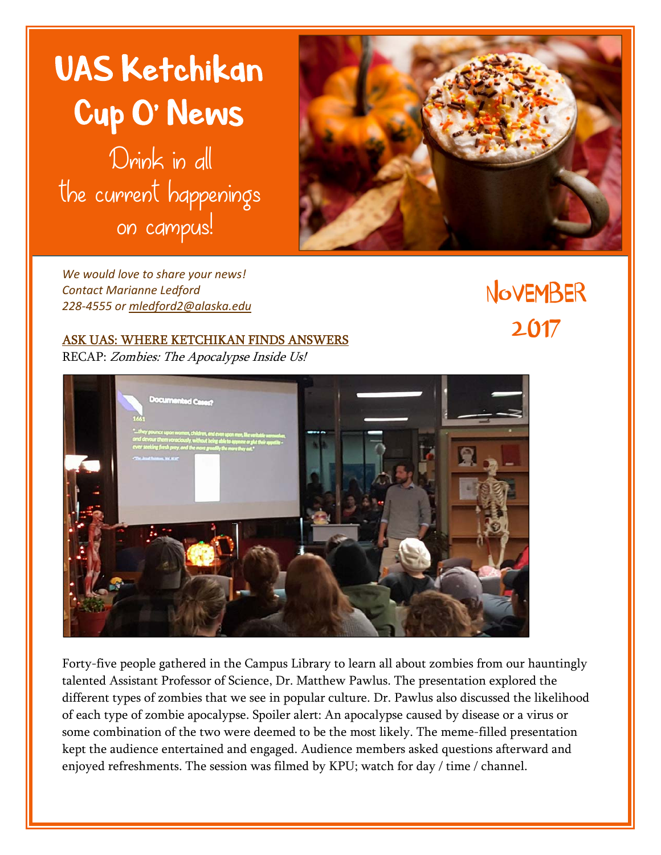



*We would love to share your news! Contact Marianne Ledford 228‐4555 or mledford2@alaska.edu*

**NovEMBER** 2017

## ASK UAS: WHERE KETCHIKAN FINDS ANSWERS

RECAP: Zombies: The Apocalypse Inside Us!



Forty-five people gathered in the Campus Library to learn all about zombies from our hauntingly talented Assistant Professor of Science, Dr. Matthew Pawlus. The presentation explored the different types of zombies that we see in popular culture. Dr. Pawlus also discussed the likelihood of each type of zombie apocalypse. Spoiler alert: An apocalypse caused by disease or a virus or some combination of the two were deemed to be the most likely. The meme-filled presentation kept the audience entertained and engaged. Audience members asked questions afterward and enjoyed refreshments. The session was filmed by KPU; watch for day / time / channel.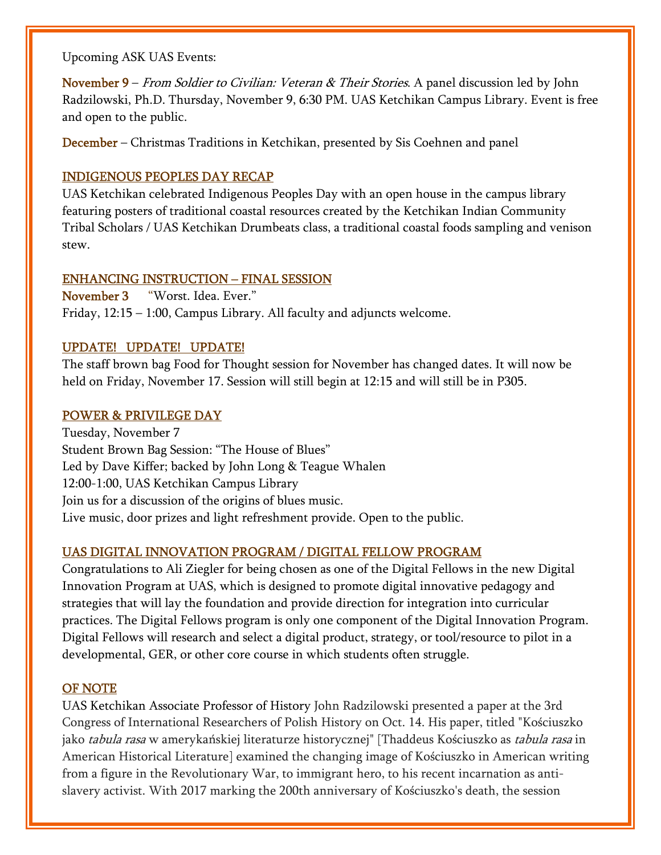Upcoming ASK UAS Events:

November 9 – From Soldier to Civilian: Veteran & Their Stories. A panel discussion led by John Radzilowski, Ph.D. Thursday, November 9, 6:30 PM. UAS Ketchikan Campus Library. Event is free and open to the public.

December – Christmas Traditions in Ketchikan, presented by Sis Coehnen and panel

#### INDIGENOUS PEOPLES DAY RECAP

UAS Ketchikan celebrated Indigenous Peoples Day with an open house in the campus library featuring posters of traditional coastal resources created by the Ketchikan Indian Community Tribal Scholars / UAS Ketchikan Drumbeats class, a traditional coastal foods sampling and venison stew.

## ENHANCING INSTRUCTION – FINAL SESSION

November 3 "Worst. Idea. Ever." Friday, 12:15 – 1:00, Campus Library. All faculty and adjuncts welcome.

## UPDATE! UPDATE! UPDATE!

The staff brown bag Food for Thought session for November has changed dates. It will now be held on Friday, November 17. Session will still begin at 12:15 and will still be in P305.

## POWER & PRIVILEGE DAY

Tuesday, November 7 Student Brown Bag Session: "The House of Blues" Led by Dave Kiffer; backed by John Long & Teague Whalen 12:00-1:00, UAS Ketchikan Campus Library Join us for a discussion of the origins of blues music. Live music, door prizes and light refreshment provide. Open to the public.

# UAS DIGITAL INNOVATION PROGRAM / DIGITAL FELLOW PROGRAM

Congratulations to Ali Ziegler for being chosen as one of the Digital Fellows in the new Digital Innovation Program at UAS, which is designed to promote digital innovative pedagogy and strategies that will lay the foundation and provide direction for integration into curricular practices. The Digital Fellows program is only one component of the Digital Innovation Program. Digital Fellows will research and select a digital product, strategy, or tool/resource to pilot in a developmental, GER, or other core course in which students often struggle.

#### OF NOTE

UAS Ketchikan Associate Professor of History John Radzilowski presented a paper at the 3rd Congress of International Researchers of Polish History on Oct. 14. His paper, titled "Kościuszko jako *tabula rasa* w amerykańskiej literaturze historycznej" [Thaddeus Kościuszko as *tabula rasa* in American Historical Literature] examined the changing image of Kościuszko in American writing from a figure in the Revolutionary War, to immigrant hero, to his recent incarnation as antislavery activist. With 2017 marking the 200th anniversary of Kościuszko's death, the session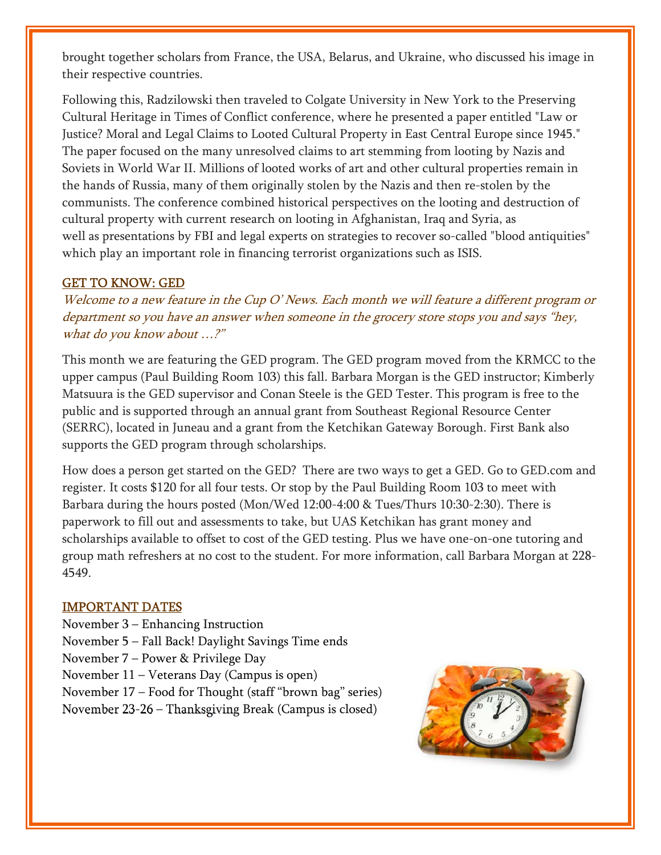brought together scholars from France, the USA, Belarus, and Ukraine, who discussed his image in their respective countries.

Following this, Radzilowski then traveled to Colgate University in New York to the Preserving Cultural Heritage in Times of Conflict conference, where he presented a paper entitled "Law or Justice? Moral and Legal Claims to Looted Cultural Property in East Central Europe since 1945." The paper focused on the many unresolved claims to art stemming from looting by Nazis and Soviets in World War II. Millions of looted works of art and other cultural properties remain in the hands of Russia, many of them originally stolen by the Nazis and then re-stolen by the communists. The conference combined historical perspectives on the looting and destruction of cultural property with current research on looting in Afghanistan, Iraq and Syria, as well as presentations by FBI and legal experts on strategies to recover so-called "blood antiquities" which play an important role in financing terrorist organizations such as ISIS.

#### GET TO KNOW: GED

Welcome to a new feature in the Cup O' News. Each month we will feature a different program or department so you have an answer when someone in the grocery store stops you and says "hey, what do you know about …?"

This month we are featuring the GED program. The GED program moved from the KRMCC to the upper campus (Paul Building Room 103) this fall. Barbara Morgan is the GED instructor; Kimberly Matsuura is the GED supervisor and Conan Steele is the GED Tester. This program is free to the public and is supported through an annual grant from Southeast Regional Resource Center (SERRC), located in Juneau and a grant from the Ketchikan Gateway Borough. First Bank also supports the GED program through scholarships.

How does a person get started on the GED? There are two ways to get a GED. Go to GED.com and register. It costs \$120 for all four tests. Or stop by the Paul Building Room 103 to meet with Barbara during the hours posted (Mon/Wed 12:00-4:00 & Tues/Thurs 10:30-2:30). There is paperwork to fill out and assessments to take, but UAS Ketchikan has grant money and scholarships available to offset to cost of the GED testing. Plus we have one-on-one tutoring and group math refreshers at no cost to the student. For more information, call Barbara Morgan at 228- 4549.

#### IMPORTANT DATES

November 3 – Enhancing Instruction November 5 – Fall Back! Daylight Savings Time ends November 7 – Power & Privilege Day November 11 – Veterans Day (Campus is open) November 17 – Food for Thought (staff "brown bag" series) November 23-26 – Thanksgiving Break (Campus is closed)